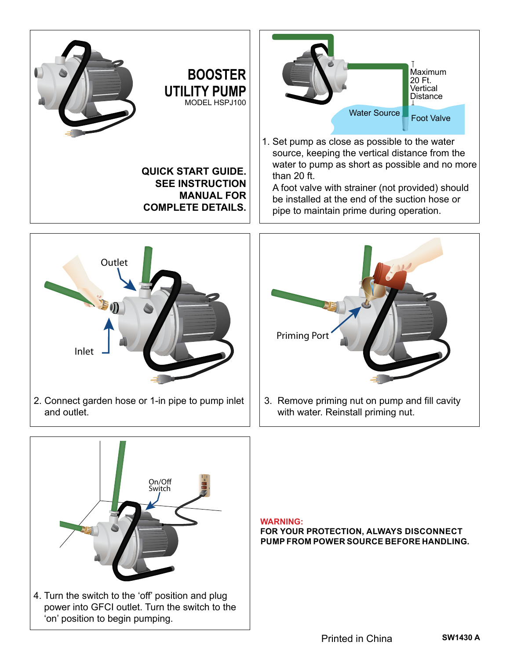